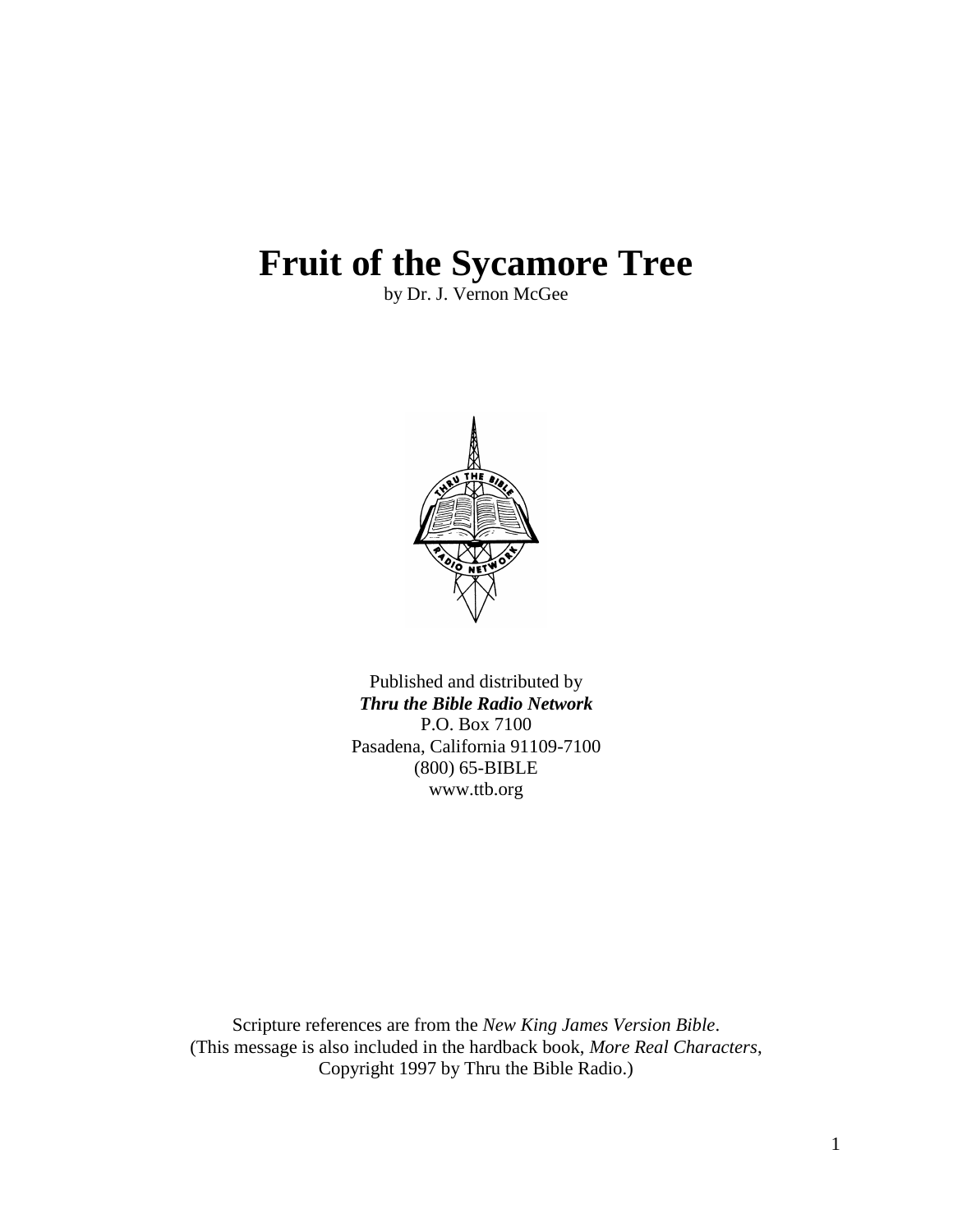# **Fruit of the Sycamore Tree**

by Dr. J. Vernon McGee



Published and distributed by *Thru the Bible Radio Network* P.O. Box 7100 Pasadena, California 91109-7100 (800) 65-BIBLE www.ttb.org

Scripture references are from the *New King James Version Bible*. (This message is also included in the hardback book, *More Real Characters*, Copyright 1997 by Thru the Bible Radio.)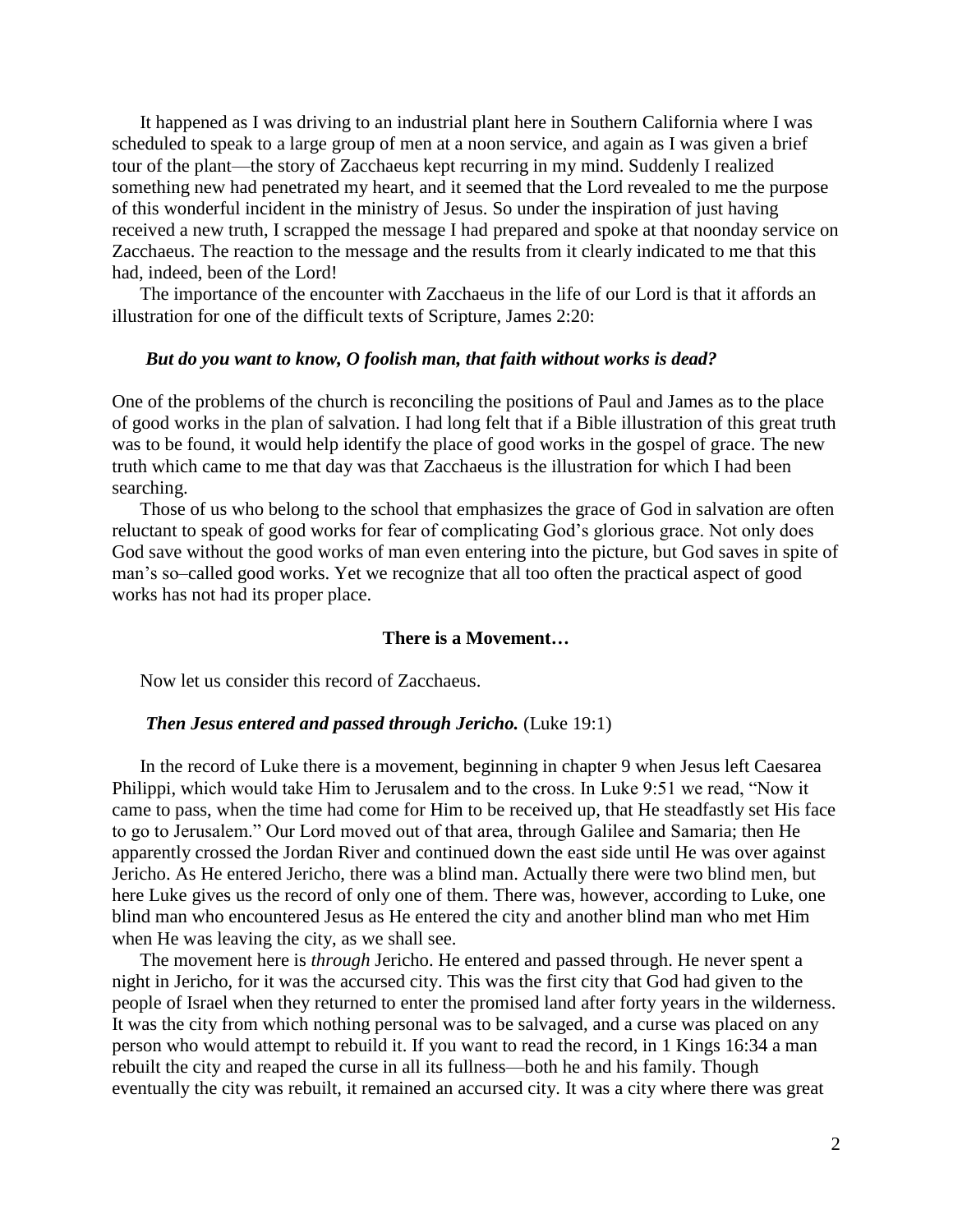It happened as I was driving to an industrial plant here in Southern California where I was scheduled to speak to a large group of men at a noon service, and again as I was given a brief tour of the plant—the story of Zacchaeus kept recurring in my mind. Suddenly I realized something new had penetrated my heart, and it seemed that the Lord revealed to me the purpose of this wonderful incident in the ministry of Jesus. So under the inspiration of just having received a new truth, I scrapped the message I had prepared and spoke at that noonday service on Zacchaeus. The reaction to the message and the results from it clearly indicated to me that this had, indeed, been of the Lord!

The importance of the encounter with Zacchaeus in the life of our Lord is that it affords an illustration for one of the difficult texts of Scripture, James 2:20:

## *But do you want to know, O foolish man, that faith without works is dead?*

One of the problems of the church is reconciling the positions of Paul and James as to the place of good works in the plan of salvation. I had long felt that if a Bible illustration of this great truth was to be found, it would help identify the place of good works in the gospel of grace. The new truth which came to me that day was that Zacchaeus is the illustration for which I had been searching.

Those of us who belong to the school that emphasizes the grace of God in salvation are often reluctant to speak of good works for fear of complicating God's glorious grace. Not only does God save without the good works of man even entering into the picture, but God saves in spite of man's so–called good works. Yet we recognize that all too often the practical aspect of good works has not had its proper place.

#### **There is a Movement…**

Now let us consider this record of Zacchaeus.

#### *Then Jesus entered and passed through Jericho.* (Luke 19:1)

In the record of Luke there is a movement, beginning in chapter 9 when Jesus left Caesarea Philippi, which would take Him to Jerusalem and to the cross. In Luke 9:51 we read, "Now it came to pass, when the time had come for Him to be received up, that He steadfastly set His face to go to Jerusalem." Our Lord moved out of that area, through Galilee and Samaria; then He apparently crossed the Jordan River and continued down the east side until He was over against Jericho. As He entered Jericho, there was a blind man. Actually there were two blind men, but here Luke gives us the record of only one of them. There was, however, according to Luke, one blind man who encountered Jesus as He entered the city and another blind man who met Him when He was leaving the city, as we shall see.

The movement here is *through* Jericho. He entered and passed through. He never spent a night in Jericho, for it was the accursed city. This was the first city that God had given to the people of Israel when they returned to enter the promised land after forty years in the wilderness. It was the city from which nothing personal was to be salvaged, and a curse was placed on any person who would attempt to rebuild it. If you want to read the record, in 1 Kings 16:34 a man rebuilt the city and reaped the curse in all its fullness—both he and his family. Though eventually the city was rebuilt, it remained an accursed city. It was a city where there was great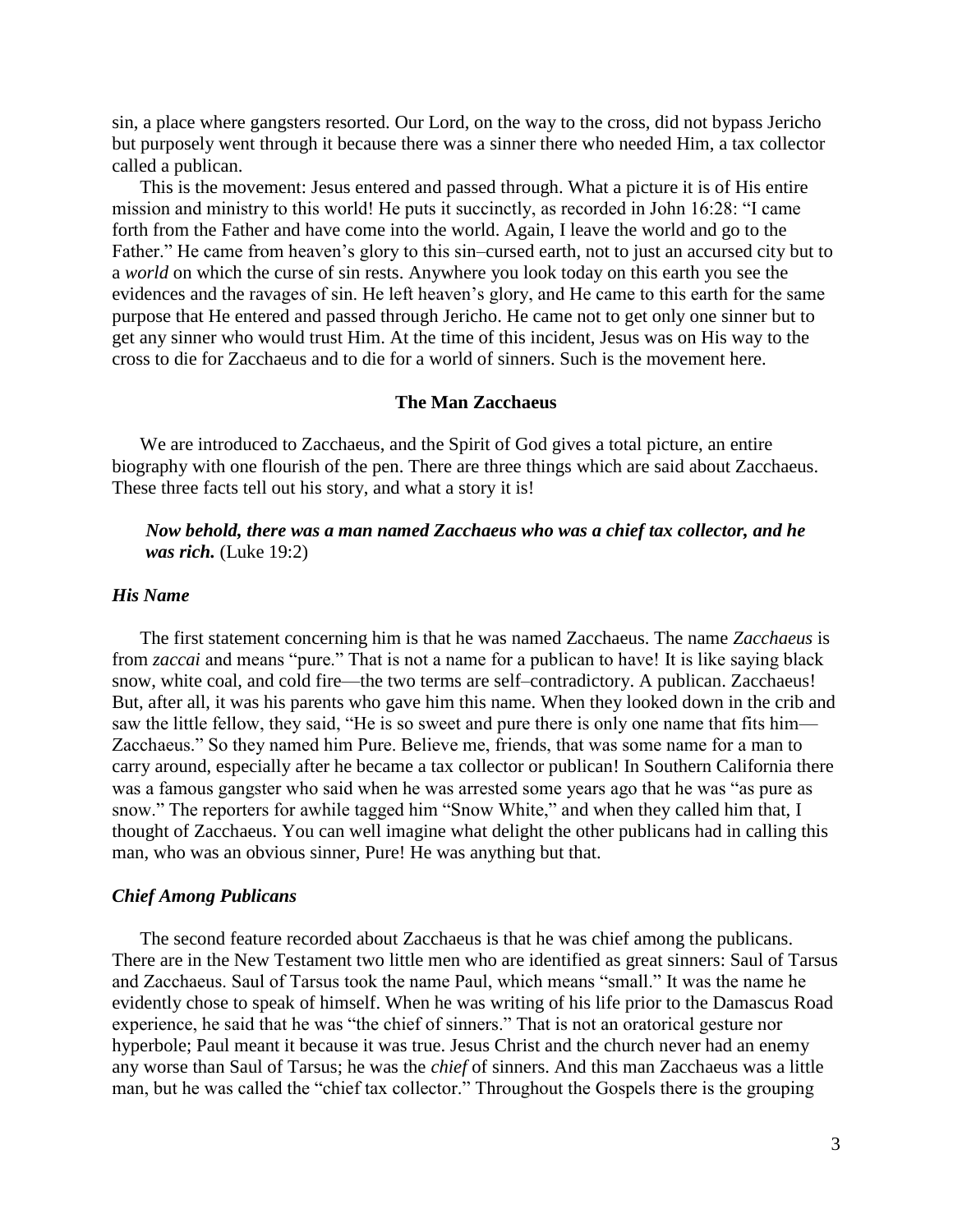sin, a place where gangsters resorted. Our Lord, on the way to the cross, did not bypass Jericho but purposely went through it because there was a sinner there who needed Him, a tax collector called a publican.

This is the movement: Jesus entered and passed through. What a picture it is of His entire mission and ministry to this world! He puts it succinctly, as recorded in John 16:28: "I came forth from the Father and have come into the world. Again, I leave the world and go to the Father." He came from heaven's glory to this sin–cursed earth, not to just an accursed city but to a *world* on which the curse of sin rests. Anywhere you look today on this earth you see the evidences and the ravages of sin. He left heaven's glory, and He came to this earth for the same purpose that He entered and passed through Jericho. He came not to get only one sinner but to get any sinner who would trust Him. At the time of this incident, Jesus was on His way to the cross to die for Zacchaeus and to die for a world of sinners. Such is the movement here.

## **The Man Zacchaeus**

We are introduced to Zacchaeus, and the Spirit of God gives a total picture, an entire biography with one flourish of the pen. There are three things which are said about Zacchaeus. These three facts tell out his story, and what a story it is!

# *Now behold, there was a man named Zacchaeus who was a chief tax collector, and he was rich.* (Luke 19:2)

## *His Name*

The first statement concerning him is that he was named Zacchaeus. The name *Zacchaeus* is from *zaccai* and means "pure." That is not a name for a publican to have! It is like saying black snow, white coal, and cold fire—the two terms are self–contradictory. A publican. Zacchaeus! But, after all, it was his parents who gave him this name. When they looked down in the crib and saw the little fellow, they said, "He is so sweet and pure there is only one name that fits him— Zacchaeus." So they named him Pure. Believe me, friends, that was some name for a man to carry around, especially after he became a tax collector or publican! In Southern California there was a famous gangster who said when he was arrested some years ago that he was "as pure as snow." The reporters for awhile tagged him "Snow White," and when they called him that, I thought of Zacchaeus. You can well imagine what delight the other publicans had in calling this man, who was an obvious sinner, Pure! He was anything but that.

# *Chief Among Publicans*

The second feature recorded about Zacchaeus is that he was chief among the publicans. There are in the New Testament two little men who are identified as great sinners: Saul of Tarsus and Zacchaeus. Saul of Tarsus took the name Paul, which means "small." It was the name he evidently chose to speak of himself. When he was writing of his life prior to the Damascus Road experience, he said that he was "the chief of sinners." That is not an oratorical gesture nor hyperbole; Paul meant it because it was true. Jesus Christ and the church never had an enemy any worse than Saul of Tarsus; he was the *chief* of sinners. And this man Zacchaeus was a little man, but he was called the "chief tax collector." Throughout the Gospels there is the grouping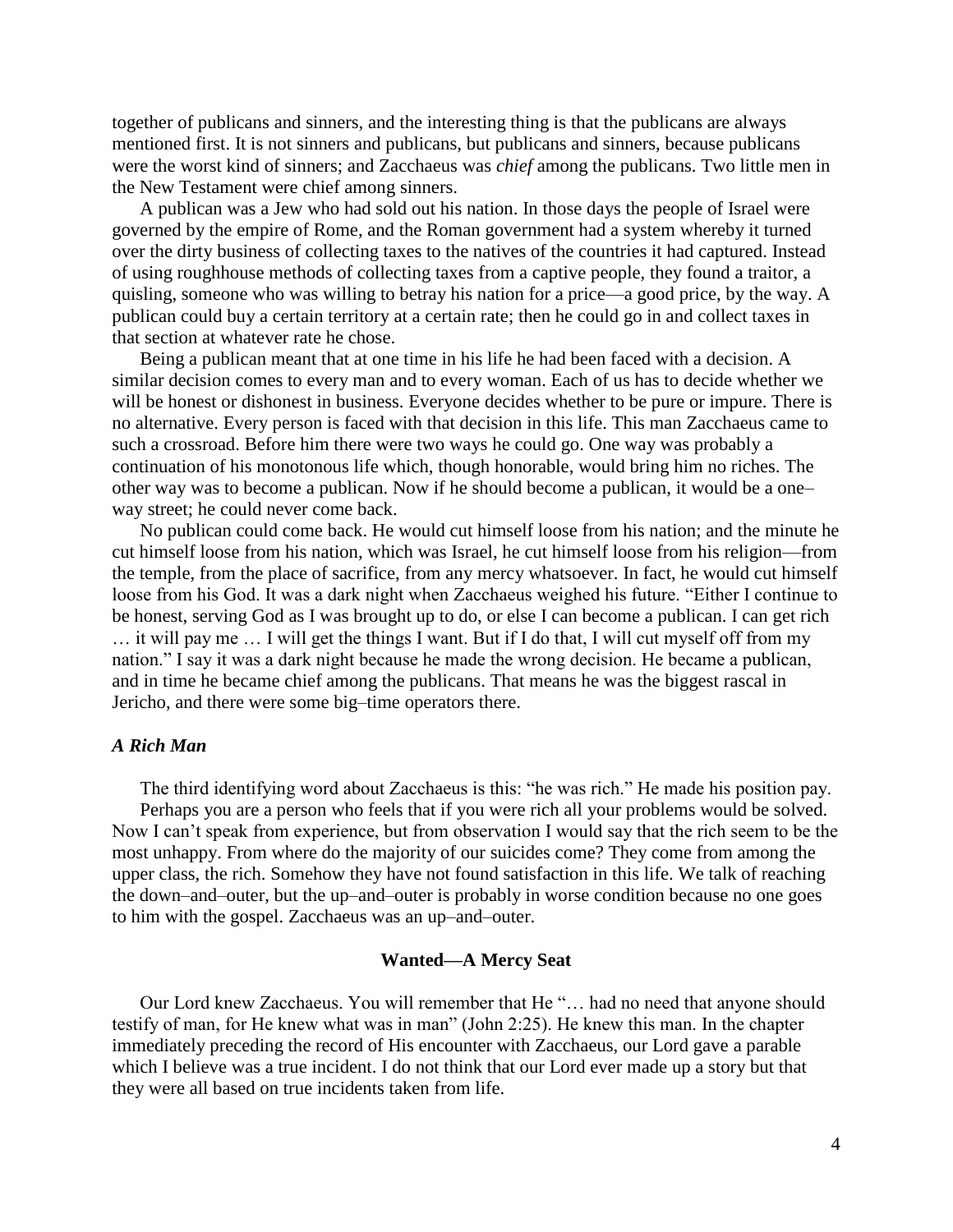together of publicans and sinners, and the interesting thing is that the publicans are always mentioned first. It is not sinners and publicans, but publicans and sinners, because publicans were the worst kind of sinners; and Zacchaeus was *chief* among the publicans. Two little men in the New Testament were chief among sinners.

A publican was a Jew who had sold out his nation. In those days the people of Israel were governed by the empire of Rome, and the Roman government had a system whereby it turned over the dirty business of collecting taxes to the natives of the countries it had captured. Instead of using roughhouse methods of collecting taxes from a captive people, they found a traitor, a quisling, someone who was willing to betray his nation for a price—a good price, by the way. A publican could buy a certain territory at a certain rate; then he could go in and collect taxes in that section at whatever rate he chose.

Being a publican meant that at one time in his life he had been faced with a decision. A similar decision comes to every man and to every woman. Each of us has to decide whether we will be honest or dishonest in business. Everyone decides whether to be pure or impure. There is no alternative. Every person is faced with that decision in this life. This man Zacchaeus came to such a crossroad. Before him there were two ways he could go. One way was probably a continuation of his monotonous life which, though honorable, would bring him no riches. The other way was to become a publican. Now if he should become a publican, it would be a one– way street; he could never come back.

No publican could come back. He would cut himself loose from his nation; and the minute he cut himself loose from his nation, which was Israel, he cut himself loose from his religion—from the temple, from the place of sacrifice, from any mercy whatsoever. In fact, he would cut himself loose from his God. It was a dark night when Zacchaeus weighed his future. "Either I continue to be honest, serving God as I was brought up to do, or else I can become a publican. I can get rich … it will pay me … I will get the things I want. But if I do that, I will cut myself off from my nation." I say it was a dark night because he made the wrong decision. He became a publican, and in time he became chief among the publicans. That means he was the biggest rascal in Jericho, and there were some big–time operators there.

# *A Rich Man*

The third identifying word about Zacchaeus is this: "he was rich." He made his position pay. Perhaps you are a person who feels that if you were rich all your problems would be solved. Now I can't speak from experience, but from observation I would say that the rich seem to be the most unhappy. From where do the majority of our suicides come? They come from among the upper class, the rich. Somehow they have not found satisfaction in this life. We talk of reaching the down–and–outer, but the up–and–outer is probably in worse condition because no one goes to him with the gospel. Zacchaeus was an up–and–outer.

## **Wanted—A Mercy Seat**

Our Lord knew Zacchaeus. You will remember that He "... had no need that anyone should testify of man, for He knew what was in man" (John 2:25). He knew this man. In the chapter immediately preceding the record of His encounter with Zacchaeus, our Lord gave a parable which I believe was a true incident. I do not think that our Lord ever made up a story but that they were all based on true incidents taken from life.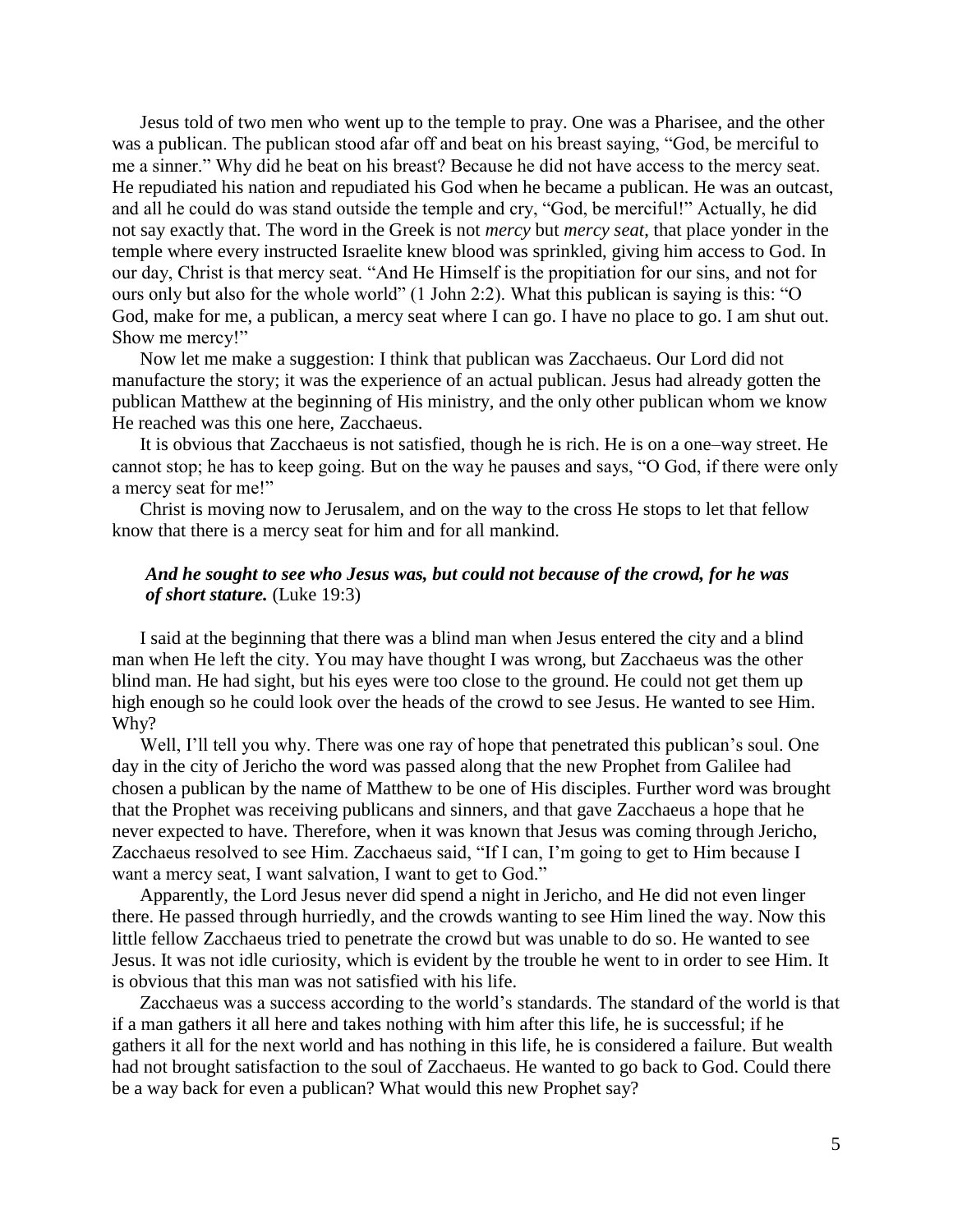Jesus told of two men who went up to the temple to pray. One was a Pharisee, and the other was a publican. The publican stood afar off and beat on his breast saying, "God, be merciful to me a sinner." Why did he beat on his breast? Because he did not have access to the mercy seat. He repudiated his nation and repudiated his God when he became a publican. He was an outcast, and all he could do was stand outside the temple and cry, "God, be merciful!" Actually, he did not say exactly that. The word in the Greek is not *mercy* but *mercy seat*, that place yonder in the temple where every instructed Israelite knew blood was sprinkled, giving him access to God. In our day, Christ is that mercy seat. "And He Himself is the propitiation for our sins, and not for ours only but also for the whole world" (1 John 2:2). What this publican is saying is this: "O God, make for me, a publican, a mercy seat where I can go. I have no place to go. I am shut out. Show me mercy!"

Now let me make a suggestion: I think that publican was Zacchaeus. Our Lord did not manufacture the story; it was the experience of an actual publican. Jesus had already gotten the publican Matthew at the beginning of His ministry, and the only other publican whom we know He reached was this one here, Zacchaeus.

It is obvious that Zacchaeus is not satisfied, though he is rich. He is on a one–way street. He cannot stop; he has to keep going. But on the way he pauses and says, "O God, if there were only a mercy seat for me!"

Christ is moving now to Jerusalem, and on the way to the cross He stops to let that fellow know that there is a mercy seat for him and for all mankind.

# *And he sought to see who Jesus was, but could not because of the crowd, for he was of short stature.* (Luke 19:3)

I said at the beginning that there was a blind man when Jesus entered the city and a blind man when He left the city. You may have thought I was wrong, but Zacchaeus was the other blind man. He had sight, but his eyes were too close to the ground. He could not get them up high enough so he could look over the heads of the crowd to see Jesus. He wanted to see Him. Why?

Well, I'll tell you why. There was one ray of hope that penetrated this publican's soul. One day in the city of Jericho the word was passed along that the new Prophet from Galilee had chosen a publican by the name of Matthew to be one of His disciples. Further word was brought that the Prophet was receiving publicans and sinners, and that gave Zacchaeus a hope that he never expected to have. Therefore, when it was known that Jesus was coming through Jericho, Zacchaeus resolved to see Him. Zacchaeus said, "If I can, I'm going to get to Him because I want a mercy seat, I want salvation, I want to get to God."

Apparently, the Lord Jesus never did spend a night in Jericho, and He did not even linger there. He passed through hurriedly, and the crowds wanting to see Him lined the way. Now this little fellow Zacchaeus tried to penetrate the crowd but was unable to do so. He wanted to see Jesus. It was not idle curiosity, which is evident by the trouble he went to in order to see Him. It is obvious that this man was not satisfied with his life.

Zacchaeus was a success according to the world's standards. The standard of the world is that if a man gathers it all here and takes nothing with him after this life, he is successful; if he gathers it all for the next world and has nothing in this life, he is considered a failure. But wealth had not brought satisfaction to the soul of Zacchaeus. He wanted to go back to God. Could there be a way back for even a publican? What would this new Prophet say?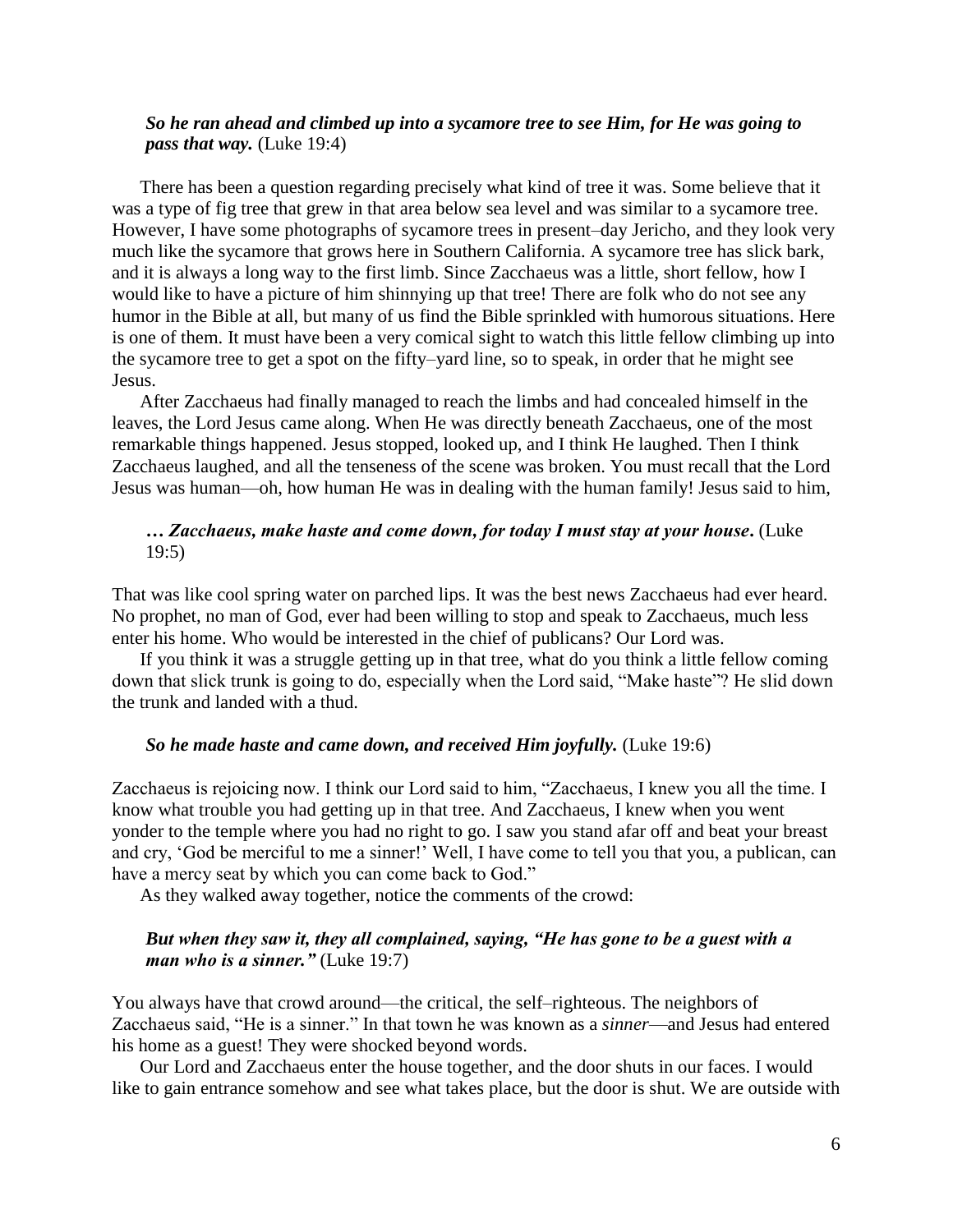# *So he ran ahead and climbed up into a sycamore tree to see Him, for He was going to pass that way.* (Luke 19:4)

There has been a question regarding precisely what kind of tree it was. Some believe that it was a type of fig tree that grew in that area below sea level and was similar to a sycamore tree. However, I have some photographs of sycamore trees in present–day Jericho, and they look very much like the sycamore that grows here in Southern California. A sycamore tree has slick bark, and it is always a long way to the first limb. Since Zacchaeus was a little, short fellow, how I would like to have a picture of him shinnying up that tree! There are folk who do not see any humor in the Bible at all, but many of us find the Bible sprinkled with humorous situations. Here is one of them. It must have been a very comical sight to watch this little fellow climbing up into the sycamore tree to get a spot on the fifty–yard line, so to speak, in order that he might see Jesus.

After Zacchaeus had finally managed to reach the limbs and had concealed himself in the leaves, the Lord Jesus came along. When He was directly beneath Zacchaeus, one of the most remarkable things happened. Jesus stopped, looked up, and I think He laughed. Then I think Zacchaeus laughed, and all the tenseness of the scene was broken. You must recall that the Lord Jesus was human—oh, how human He was in dealing with the human family! Jesus said to him,

# *… Zacchaeus, make haste and come down, for today I must stay at your house***.** (Luke 19:5)

That was like cool spring water on parched lips. It was the best news Zacchaeus had ever heard. No prophet, no man of God, ever had been willing to stop and speak to Zacchaeus, much less enter his home. Who would be interested in the chief of publicans? Our Lord was.

If you think it was a struggle getting up in that tree, what do you think a little fellow coming down that slick trunk is going to do, especially when the Lord said, "Make haste"? He slid down the trunk and landed with a thud.

# *So he made haste and came down, and received Him joyfully.* (Luke 19:6)

Zacchaeus is rejoicing now. I think our Lord said to him, "Zacchaeus, I knew you all the time. I know what trouble you had getting up in that tree. And Zacchaeus, I knew when you went yonder to the temple where you had no right to go. I saw you stand afar off and beat your breast and cry, ‗God be merciful to me a sinner!' Well, I have come to tell you that you, a publican, can have a mercy seat by which you can come back to God."

As they walked away together, notice the comments of the crowd:

# *But when they saw it, they all complained, saying, "He has gone to be a guest with a man who is a sinner."* (Luke 19:7)

You always have that crowd around—the critical, the self–righteous. The neighbors of Zacchaeus said, "He is a sinner." In that town he was known as a *sinner*—and Jesus had entered his home as a guest! They were shocked beyond words.

Our Lord and Zacchaeus enter the house together, and the door shuts in our faces. I would like to gain entrance somehow and see what takes place, but the door is shut. We are outside with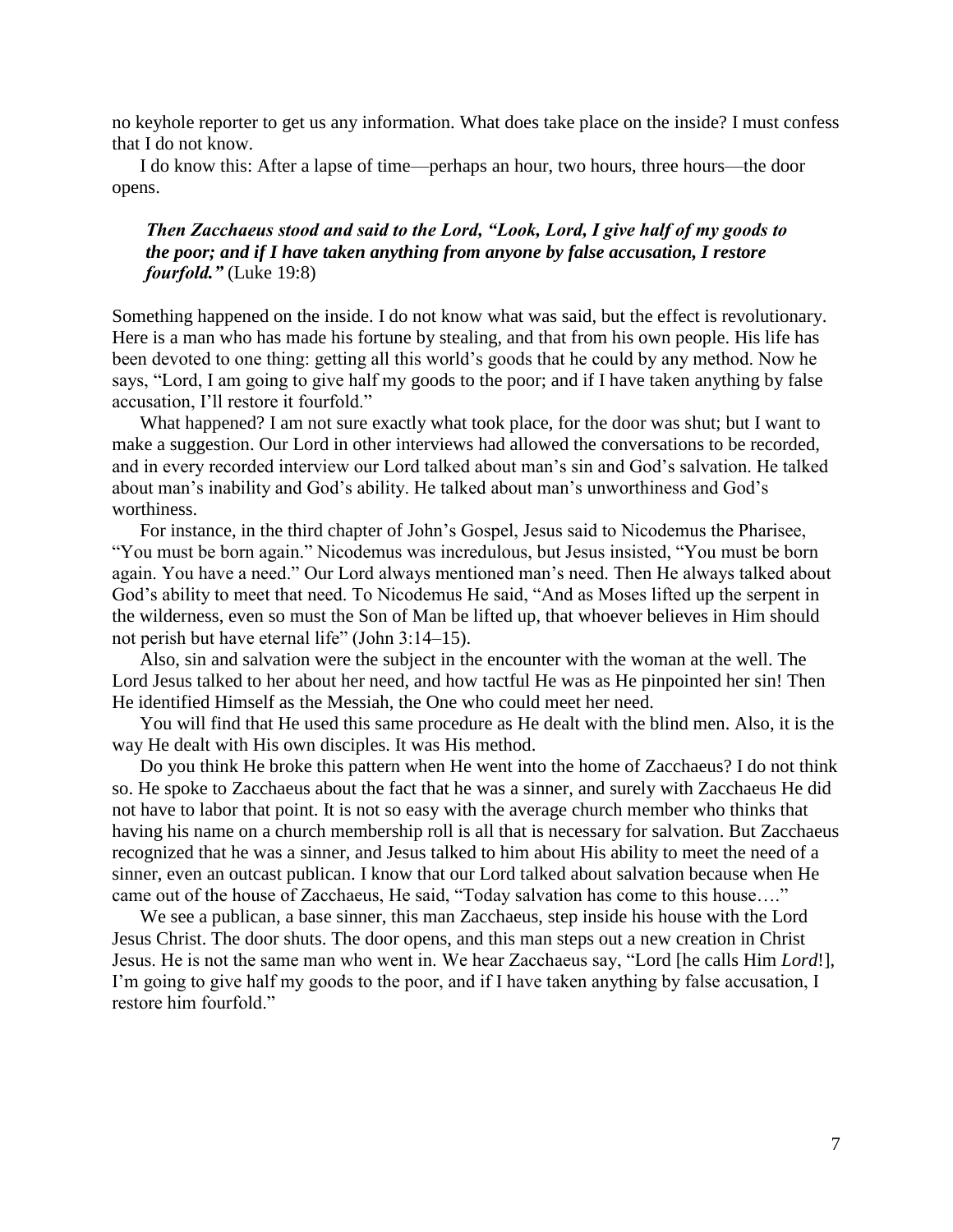no keyhole reporter to get us any information. What does take place on the inside? I must confess that I do not know.

I do know this: After a lapse of time—perhaps an hour, two hours, three hours—the door opens.

# *Then Zacchaeus stood and said to the Lord, "Look, Lord, I give half of my goods to the poor; and if I have taken anything from anyone by false accusation, I restore fourfold."* (Luke 19:8)

Something happened on the inside. I do not know what was said, but the effect is revolutionary. Here is a man who has made his fortune by stealing, and that from his own people. His life has been devoted to one thing: getting all this world's goods that he could by any method. Now he says, "Lord, I am going to give half my goods to the poor; and if I have taken anything by false accusation, I'll restore it fourfold."

What happened? I am not sure exactly what took place, for the door was shut; but I want to make a suggestion. Our Lord in other interviews had allowed the conversations to be recorded, and in every recorded interview our Lord talked about man's sin and God's salvation. He talked about man's inability and God's ability. He talked about man's unworthiness and God's worthiness.

For instance, in the third chapter of John's Gospel, Jesus said to Nicodemus the Pharisee, "You must be born again." Nicodemus was incredulous, but Jesus insisted, "You must be born again. You have a need." Our Lord always mentioned man's need. Then He always talked about God's ability to meet that need. To Nicodemus He said, "And as Moses lifted up the serpent in the wilderness, even so must the Son of Man be lifted up, that whoever believes in Him should not perish but have eternal life" (John  $3:14-15$ ).

Also, sin and salvation were the subject in the encounter with the woman at the well. The Lord Jesus talked to her about her need, and how tactful He was as He pinpointed her sin! Then He identified Himself as the Messiah, the One who could meet her need.

You will find that He used this same procedure as He dealt with the blind men. Also, it is the way He dealt with His own disciples. It was His method.

Do you think He broke this pattern when He went into the home of Zacchaeus? I do not think so. He spoke to Zacchaeus about the fact that he was a sinner, and surely with Zacchaeus He did not have to labor that point. It is not so easy with the average church member who thinks that having his name on a church membership roll is all that is necessary for salvation. But Zacchaeus recognized that he was a sinner, and Jesus talked to him about His ability to meet the need of a sinner, even an outcast publican. I know that our Lord talked about salvation because when He came out of the house of Zacchaeus, He said, "Today salvation has come to this house...."

We see a publican, a base sinner, this man Zacchaeus, step inside his house with the Lord Jesus Christ. The door shuts. The door opens, and this man steps out a new creation in Christ Jesus. He is not the same man who went in. We hear Zacchaeus say, "Lord [he calls Him *Lord*!], I'm going to give half my goods to the poor, and if I have taken anything by false accusation, I restore him fourfold."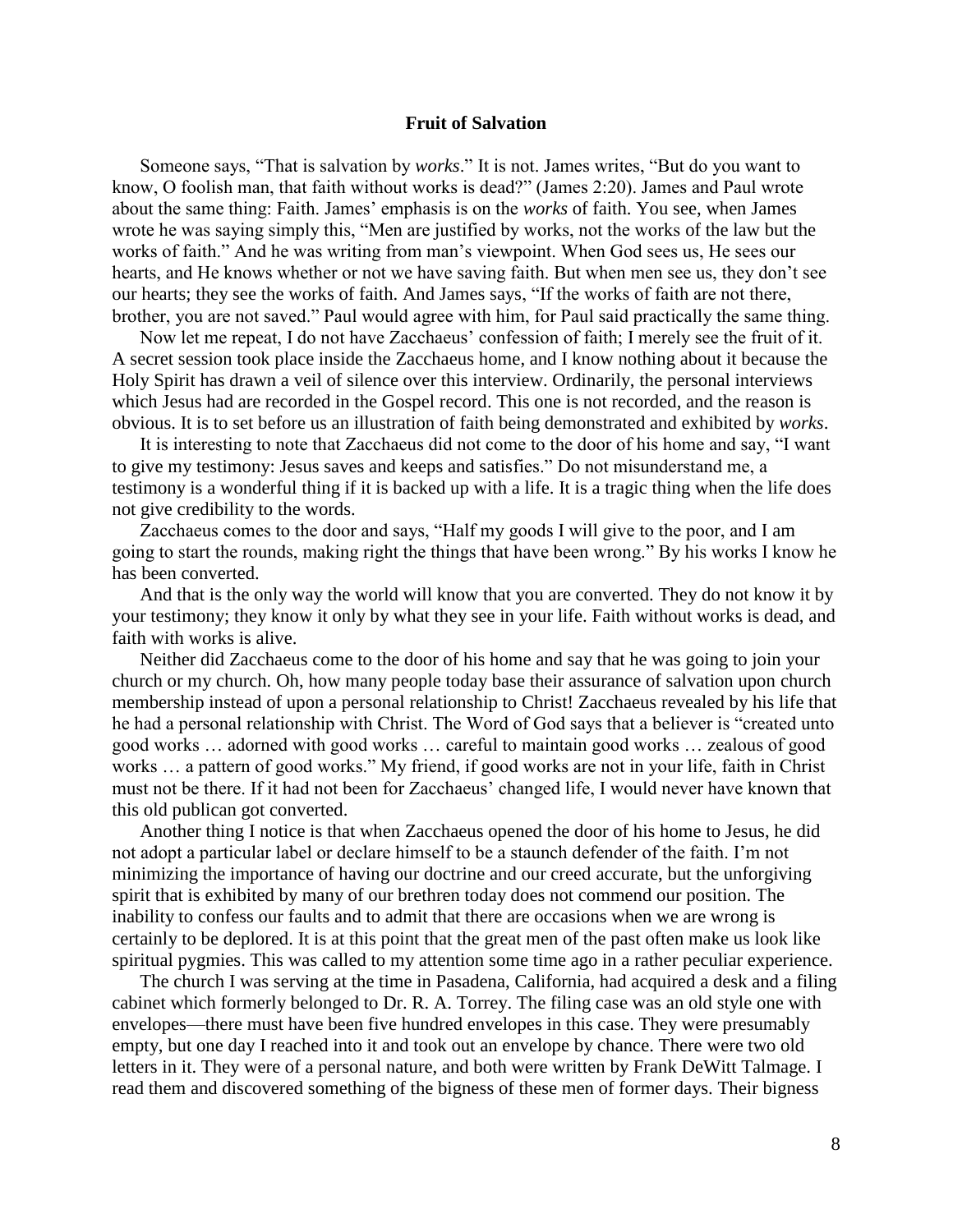## **Fruit of Salvation**

Someone says, "That is salvation by *works*." It is not. James writes, "But do you want to know, O foolish man, that faith without works is dead?" (James 2:20). James and Paul wrote about the same thing: Faith. James' emphasis is on the *works* of faith. You see, when James wrote he was saying simply this, "Men are justified by works, not the works of the law but the works of faith." And he was writing from man's viewpoint. When God sees us, He sees our hearts, and He knows whether or not we have saving faith. But when men see us, they don't see our hearts; they see the works of faith. And James says, "If the works of faith are not there, brother, you are not saved." Paul would agree with him, for Paul said practically the same thing.

Now let me repeat, I do not have Zacchaeus' confession of faith; I merely see the fruit of it. A secret session took place inside the Zacchaeus home, and I know nothing about it because the Holy Spirit has drawn a veil of silence over this interview. Ordinarily, the personal interviews which Jesus had are recorded in the Gospel record. This one is not recorded, and the reason is obvious. It is to set before us an illustration of faith being demonstrated and exhibited by *works*.

It is interesting to note that Zacchaeus did not come to the door of his home and say, "I want to give my testimony: Jesus saves and keeps and satisfies." Do not misunderstand me, a testimony is a wonderful thing if it is backed up with a life. It is a tragic thing when the life does not give credibility to the words.

Zacchaeus comes to the door and says, "Half my goods I will give to the poor, and I am going to start the rounds, making right the things that have been wrong." By his works I know he has been converted.

And that is the only way the world will know that you are converted. They do not know it by your testimony; they know it only by what they see in your life. Faith without works is dead, and faith with works is alive.

Neither did Zacchaeus come to the door of his home and say that he was going to join your church or my church. Oh, how many people today base their assurance of salvation upon church membership instead of upon a personal relationship to Christ! Zacchaeus revealed by his life that he had a personal relationship with Christ. The Word of God says that a believer is "created unto good works … adorned with good works … careful to maintain good works … zealous of good works ... a pattern of good works." My friend, if good works are not in your life, faith in Christ must not be there. If it had not been for Zacchaeus' changed life, I would never have known that this old publican got converted.

Another thing I notice is that when Zacchaeus opened the door of his home to Jesus, he did not adopt a particular label or declare himself to be a staunch defender of the faith. I'm not minimizing the importance of having our doctrine and our creed accurate, but the unforgiving spirit that is exhibited by many of our brethren today does not commend our position. The inability to confess our faults and to admit that there are occasions when we are wrong is certainly to be deplored. It is at this point that the great men of the past often make us look like spiritual pygmies. This was called to my attention some time ago in a rather peculiar experience.

The church I was serving at the time in Pasadena, California, had acquired a desk and a filing cabinet which formerly belonged to Dr. R. A. Torrey. The filing case was an old style one with envelopes—there must have been five hundred envelopes in this case. They were presumably empty, but one day I reached into it and took out an envelope by chance. There were two old letters in it. They were of a personal nature, and both were written by Frank DeWitt Talmage. I read them and discovered something of the bigness of these men of former days. Their bigness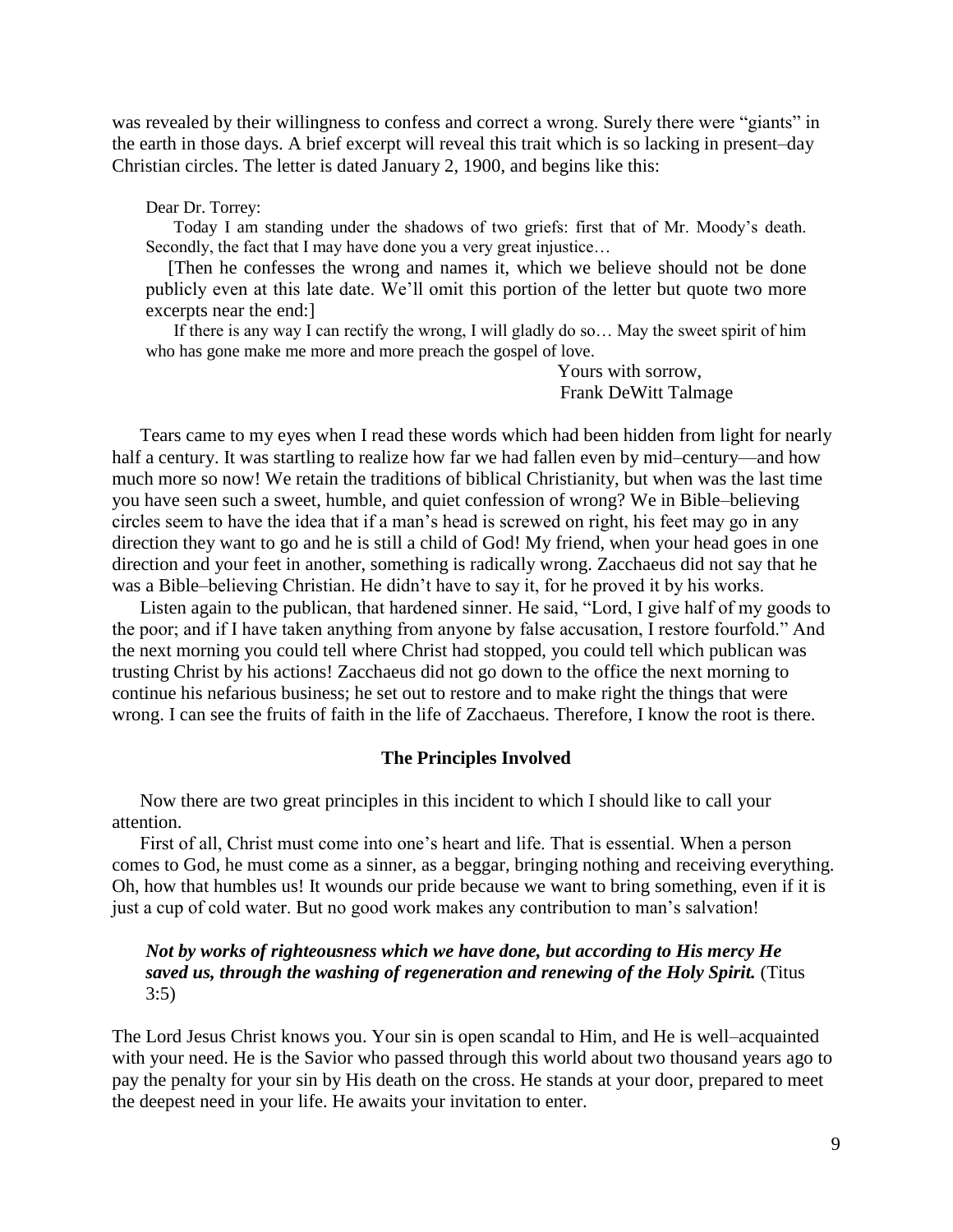was revealed by their willingness to confess and correct a wrong. Surely there were "giants" in the earth in those days. A brief excerpt will reveal this trait which is so lacking in present–day Christian circles. The letter is dated January 2, 1900, and begins like this:

Dear Dr. Torrey:

Today I am standing under the shadows of two griefs: first that of Mr. Moody's death. Secondly, the fact that I may have done you a very great injustice...

[Then he confesses the wrong and names it, which we believe should not be done publicly even at this late date. We'll omit this portion of the letter but quote two more excerpts near the end:]

If there is any way I can rectify the wrong, I will gladly do so… May the sweet spirit of him who has gone make me more and more preach the gospel of love.

> Yours with sorrow, Frank DeWitt Talmage

Tears came to my eyes when I read these words which had been hidden from light for nearly half a century. It was startling to realize how far we had fallen even by mid–century—and how much more so now! We retain the traditions of biblical Christianity, but when was the last time you have seen such a sweet, humble, and quiet confession of wrong? We in Bible–believing circles seem to have the idea that if a man's head is screwed on right, his feet may go in any direction they want to go and he is still a child of God! My friend, when your head goes in one direction and your feet in another, something is radically wrong. Zacchaeus did not say that he was a Bible–believing Christian. He didn't have to say it, for he proved it by his works.

Listen again to the publican, that hardened sinner. He said, "Lord, I give half of my goods to the poor; and if I have taken anything from anyone by false accusation, I restore fourfold." And the next morning you could tell where Christ had stopped, you could tell which publican was trusting Christ by his actions! Zacchaeus did not go down to the office the next morning to continue his nefarious business; he set out to restore and to make right the things that were wrong. I can see the fruits of faith in the life of Zacchaeus. Therefore, I know the root is there.

# **The Principles Involved**

Now there are two great principles in this incident to which I should like to call your attention.

First of all, Christ must come into one's heart and life. That is essential. When a person comes to God, he must come as a sinner, as a beggar, bringing nothing and receiving everything. Oh, how that humbles us! It wounds our pride because we want to bring something, even if it is just a cup of cold water. But no good work makes any contribution to man's salvation!

# *Not by works of righteousness which we have done, but according to His mercy He saved us, through the washing of regeneration and renewing of the Holy Spirit.* (Titus 3:5)

The Lord Jesus Christ knows you. Your sin is open scandal to Him, and He is well–acquainted with your need. He is the Savior who passed through this world about two thousand years ago to pay the penalty for your sin by His death on the cross. He stands at your door, prepared to meet the deepest need in your life. He awaits your invitation to enter.